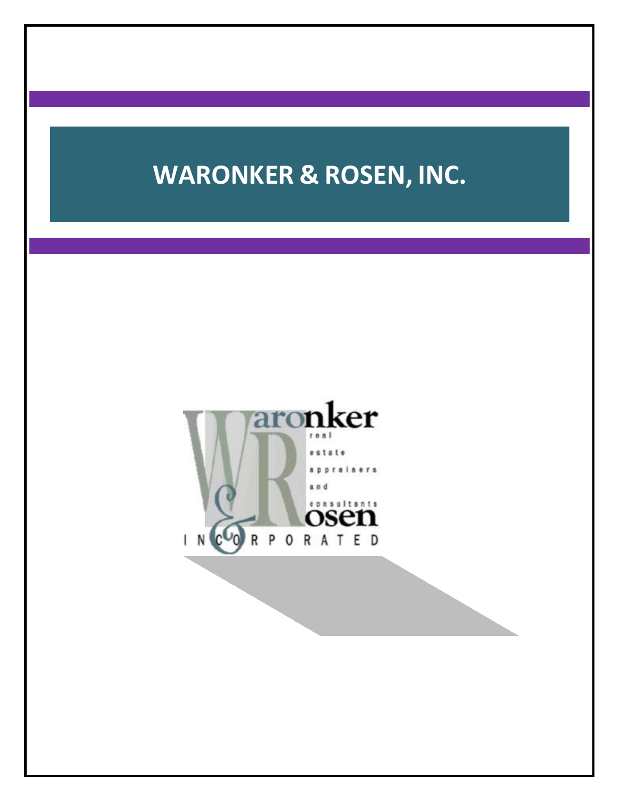# **WARONKER & ROSEN, INC.**

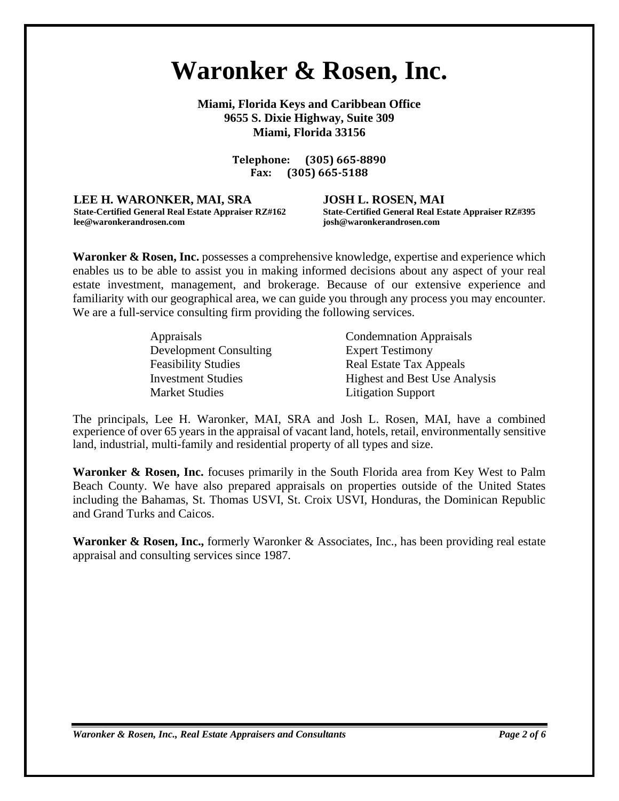## **Waronker & Rosen, Inc.**

**Miami, Florida Keys and Caribbean Office 9655 S. Dixie Highway, Suite 309 Miami, Florida 33156**

> **Telephone: (305) 665-8890 Fax: (305) 665-5188**

**LEE H. WARONKER, MAI, SRA JOSH L. ROSEN, MAI lee@waronkerandrosen.com josh@waronkerandrosen.com**

**State-Certified General Real Estate Appraiser RZ#162 State-Certified General Real Estate Appraiser RZ#395**

**Waronker & Rosen, Inc.** possesses a comprehensive knowledge, expertise and experience which enables us to be able to assist you in making informed decisions about any aspect of your real estate investment, management, and brokerage. Because of our extensive experience and familiarity with our geographical area, we can guide you through any process you may encounter. We are a full-service consulting firm providing the following services.

| <i>Appraisals</i>             | <b>Condemnation Appraisals</b>       |
|-------------------------------|--------------------------------------|
| <b>Development Consulting</b> | <b>Expert Testimony</b>              |
| <b>Feasibility Studies</b>    | Real Estate Tax Appeals              |
| <b>Investment Studies</b>     | <b>Highest and Best Use Analysis</b> |
| <b>Market Studies</b>         | <b>Litigation Support</b>            |

The principals, Lee H. Waronker, MAI, SRA and Josh L. Rosen, MAI, have a combined experience of over 65 years in the appraisal of vacant land, hotels, retail, environmentally sensitive land, industrial, multi-family and residential property of all types and size.

**Waronker & Rosen, Inc.** focuses primarily in the South Florida area from Key West to Palm Beach County. We have also prepared appraisals on properties outside of the United States including the Bahamas, St. Thomas USVI, St. Croix USVI, Honduras, the Dominican Republic and Grand Turks and Caicos.

Waronker & Rosen, Inc., formerly Waronker & Associates, Inc., has been providing real estate appraisal and consulting services since 1987.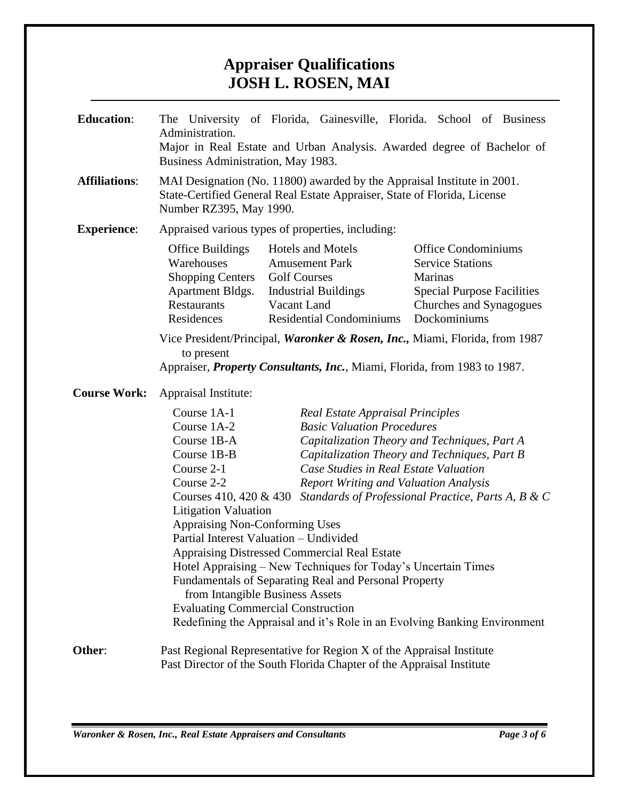#### **Appraiser Qualifications JOSH L. ROSEN, MAI**

| <b>Education:</b>    | Administration.<br>Business Administration, May 1983.                                                                                                                                                                                                                                                                                                                                                                                                                                                                                                                                                                                                                                                                                                                                                                                                                                                            | The University of Florida, Gainesville, Florida. School of Business<br>Major in Real Estate and Urban Analysis. Awarded degree of Bachelor of             |                                                                                                                                                  |  |  |
|----------------------|------------------------------------------------------------------------------------------------------------------------------------------------------------------------------------------------------------------------------------------------------------------------------------------------------------------------------------------------------------------------------------------------------------------------------------------------------------------------------------------------------------------------------------------------------------------------------------------------------------------------------------------------------------------------------------------------------------------------------------------------------------------------------------------------------------------------------------------------------------------------------------------------------------------|-----------------------------------------------------------------------------------------------------------------------------------------------------------|--------------------------------------------------------------------------------------------------------------------------------------------------|--|--|
| <b>Affiliations:</b> | MAI Designation (No. 11800) awarded by the Appraisal Institute in 2001.<br>State-Certified General Real Estate Appraiser, State of Florida, License<br>Number RZ395, May 1990.                                                                                                                                                                                                                                                                                                                                                                                                                                                                                                                                                                                                                                                                                                                                   |                                                                                                                                                           |                                                                                                                                                  |  |  |
| <b>Experience:</b>   | Appraised various types of properties, including:                                                                                                                                                                                                                                                                                                                                                                                                                                                                                                                                                                                                                                                                                                                                                                                                                                                                |                                                                                                                                                           |                                                                                                                                                  |  |  |
|                      | Office Buildings<br>Warehouses<br><b>Shopping Centers</b><br><b>Apartment Bldgs.</b><br>Restaurants<br>Residences                                                                                                                                                                                                                                                                                                                                                                                                                                                                                                                                                                                                                                                                                                                                                                                                | <b>Hotels and Motels</b><br><b>Amusement Park</b><br><b>Golf Courses</b><br><b>Industrial Buildings</b><br>Vacant Land<br><b>Residential Condominiums</b> | <b>Office Condominiums</b><br><b>Service Stations</b><br>Marinas<br><b>Special Purpose Facilities</b><br>Churches and Synagogues<br>Dockominiums |  |  |
|                      | Vice President/Principal, Waronker & Rosen, Inc., Miami, Florida, from 1987<br>to present<br>Appraiser, <i>Property Consultants, Inc.</i> , Miami, Florida, from 1983 to 1987.                                                                                                                                                                                                                                                                                                                                                                                                                                                                                                                                                                                                                                                                                                                                   |                                                                                                                                                           |                                                                                                                                                  |  |  |
| <b>Course Work:</b>  | Appraisal Institute:                                                                                                                                                                                                                                                                                                                                                                                                                                                                                                                                                                                                                                                                                                                                                                                                                                                                                             |                                                                                                                                                           |                                                                                                                                                  |  |  |
|                      | Course 1A-1<br><b>Real Estate Appraisal Principles</b><br>Course 1A-2<br><b>Basic Valuation Procedures</b><br>Course 1B-A<br>Capitalization Theory and Techniques, Part A<br>Course 1B-B<br>Capitalization Theory and Techniques, Part B<br>Course 2-1<br>Case Studies in Real Estate Valuation<br>Course 2-2<br><b>Report Writing and Valuation Analysis</b><br>Standards of Professional Practice, Parts A, B & C<br>Courses $410, 420 \& 430$<br><b>Litigation Valuation</b><br><b>Appraising Non-Conforming Uses</b><br>Partial Interest Valuation - Undivided<br><b>Appraising Distressed Commercial Real Estate</b><br>Hotel Appraising - New Techniques for Today's Uncertain Times<br>Fundamentals of Separating Real and Personal Property<br>from Intangible Business Assets<br><b>Evaluating Commercial Construction</b><br>Redefining the Appraisal and it's Role in an Evolving Banking Environment |                                                                                                                                                           |                                                                                                                                                  |  |  |
| Other:               |                                                                                                                                                                                                                                                                                                                                                                                                                                                                                                                                                                                                                                                                                                                                                                                                                                                                                                                  | Past Regional Representative for Region X of the Appraisal Institute<br>Past Director of the South Florida Chapter of the Appraisal Institute             |                                                                                                                                                  |  |  |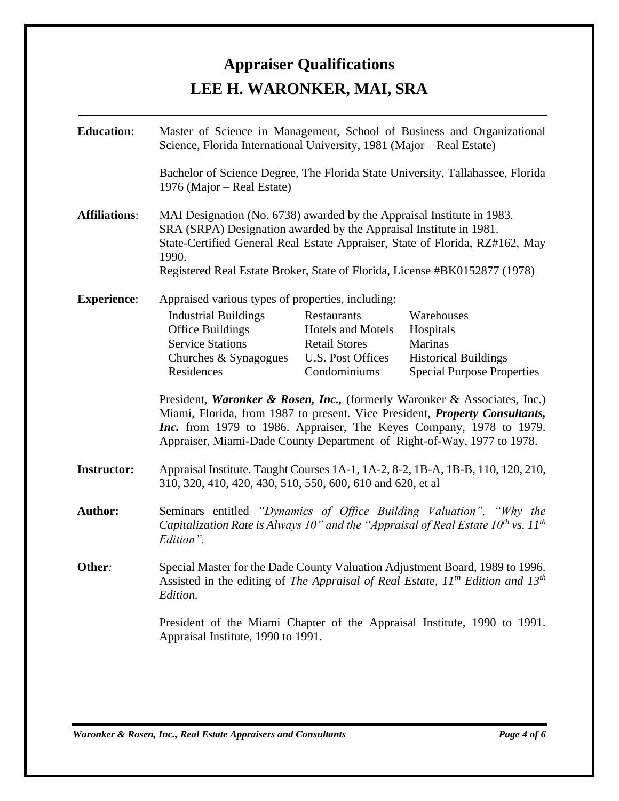### **Appraiser Qualifications LEE H. WARONKER, MAI, SRA**

| <b>Education:</b>    | Master of Science in Management, School of Business and Organizational<br>Science, Florida International University, 1981 (Major – Real Estate)                                                                                                                                                                     |                                                                                               |                                                                                                               |  |
|----------------------|---------------------------------------------------------------------------------------------------------------------------------------------------------------------------------------------------------------------------------------------------------------------------------------------------------------------|-----------------------------------------------------------------------------------------------|---------------------------------------------------------------------------------------------------------------|--|
|                      | Bachelor of Science Degree, The Florida State University, Tallahassee, Florida<br>1976 (Major – Real Estate)                                                                                                                                                                                                        |                                                                                               |                                                                                                               |  |
| <b>Affiliations:</b> | MAI Designation (No. 6738) awarded by the Appraisal Institute in 1983.<br>SRA (SRPA) Designation awarded by the Appraisal Institute in 1981.<br>State-Certified General Real Estate Appraiser, State of Florida, RZ#162, May<br>1990.<br>Registered Real Estate Broker, State of Florida, License #BK0152877 (1978) |                                                                                               |                                                                                                               |  |
| <b>Experience:</b>   | Appraised various types of properties, including:                                                                                                                                                                                                                                                                   |                                                                                               |                                                                                                               |  |
|                      | <b>Industrial Buildings</b><br><b>Office Buildings</b><br><b>Service Stations</b><br>Churches & Synagogues<br>Residences                                                                                                                                                                                            | Restaurants<br>Hotels and Motels<br><b>Retail Stores</b><br>U.S. Post Offices<br>Condominiums | Warehouses<br>Hospitals<br><b>Marinas</b><br><b>Historical Buildings</b><br><b>Special Purpose Properties</b> |  |
|                      | President, Waronker & Rosen, Inc., (formerly Waronker & Associates, Inc.)<br>Miami, Florida, from 1987 to present. Vice President, Property Consultants,<br>Inc. from 1979 to 1986. Appraiser, The Keyes Company, 1978 to 1979.<br>Appraiser, Miami-Dade County Department of Right-of-Way, 1977 to 1978.           |                                                                                               |                                                                                                               |  |
| <b>Instructor:</b>   | Appraisal Institute. Taught Courses 1A-1, 1A-2, 8-2, 1B-A, 1B-B, 110, 120, 210,<br>310, 320, 410, 420, 430, 510, 550, 600, 610 and 620, et al                                                                                                                                                                       |                                                                                               |                                                                                                               |  |
| Author:              | Seminars entitled "Dynamics of Office Building Valuation", "Why the<br>Capitalization Rate is Always 10" and the "Appraisal of Real Estate $10^{th}$ vs. $11^{th}$<br>Edition".                                                                                                                                     |                                                                                               |                                                                                                               |  |
| Other:               | Special Master for the Dade County Valuation Adjustment Board, 1989 to 1996.<br>Assisted in the editing of The Appraisal of Real Estate, $11^{th}$ Edition and $13^{th}$<br>Edition.                                                                                                                                |                                                                                               |                                                                                                               |  |
|                      | President of the Miami Chapter of the Appraisal Institute, 1990 to 1991.<br>Appraisal Institute, 1990 to 1991.                                                                                                                                                                                                      |                                                                                               |                                                                                                               |  |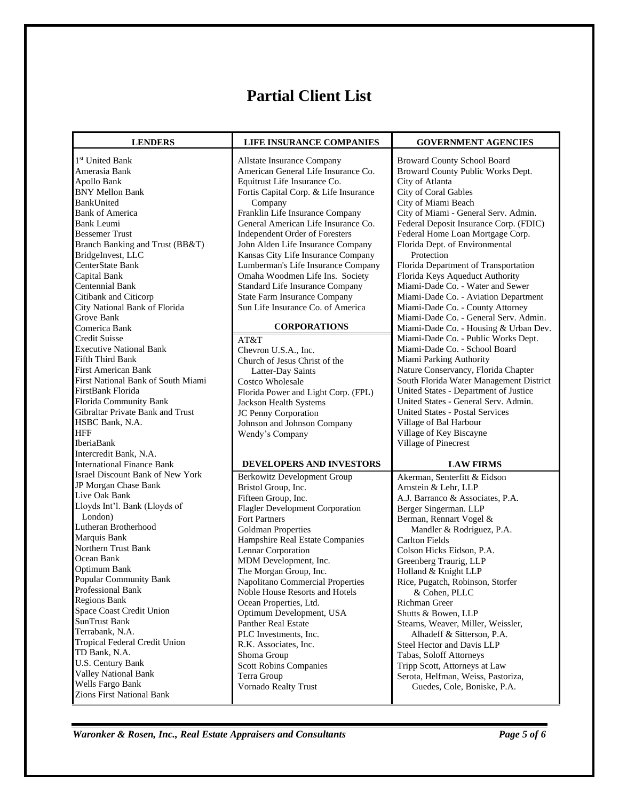#### **Partial Client List**

| <b>LENDERS</b>                          | LIFE INSURANCE COMPANIES              | <b>GOVERNMENT AGENCIES</b>              |  |
|-----------------------------------------|---------------------------------------|-----------------------------------------|--|
| 1 <sup>st</sup> United Bank             | Allstate Insurance Company            | <b>Broward County School Board</b>      |  |
| Amerasia Bank                           | American General Life Insurance Co.   | Broward County Public Works Dept.       |  |
| Apollo Bank                             | Equitrust Life Insurance Co.          | City of Atlanta                         |  |
| <b>BNY Mellon Bank</b>                  | Fortis Capital Corp. & Life Insurance | City of Coral Gables                    |  |
| BankUnited                              | Company                               | City of Miami Beach                     |  |
| <b>Bank of America</b>                  | Franklin Life Insurance Company       | City of Miami - General Serv. Admin.    |  |
| Bank Leumi                              | General American Life Insurance Co.   | Federal Deposit Insurance Corp. (FDIC)  |  |
| <b>Bessemer Trust</b>                   | Independent Order of Foresters        | Federal Home Loan Mortgage Corp.        |  |
| Branch Banking and Trust (BB&T)         | John Alden Life Insurance Company     | Florida Dept. of Environmental          |  |
| BridgeInvest, LLC                       | Kansas City Life Insurance Company    | Protection                              |  |
| CenterState Bank                        | Lumberman's Life Insurance Company    | Florida Department of Transportation    |  |
| Capital Bank                            | Omaha Woodmen Life Ins. Society       | Florida Keys Aqueduct Authority         |  |
| <b>Centennial Bank</b>                  | Standard Life Insurance Company       | Miami-Dade Co. - Water and Sewer        |  |
| Citibank and Citicorp                   | <b>State Farm Insurance Company</b>   | Miami-Dade Co. - Aviation Department    |  |
| City National Bank of Florida           | Sun Life Insurance Co. of America     | Miami-Dade Co. - County Attorney        |  |
| <b>Grove Bank</b>                       |                                       | Miami-Dade Co. - General Serv. Admin.   |  |
| Comerica Bank                           | <b>CORPORATIONS</b>                   | Miami-Dade Co. - Housing & Urban Dev.   |  |
| Credit Suisse                           | AT&T                                  | Miami-Dade Co. - Public Works Dept.     |  |
| <b>Executive National Bank</b>          | Chevron U.S.A., Inc.                  | Miami-Dade Co. - School Board           |  |
| Fifth Third Bank                        | Church of Jesus Christ of the         | Miami Parking Authority                 |  |
| <b>First American Bank</b>              | Latter-Day Saints                     | Nature Conservancy, Florida Chapter     |  |
| First National Bank of South Miami      | <b>Costco Wholesale</b>               | South Florida Water Management District |  |
| FirstBank Florida                       | Florida Power and Light Corp. (FPL)   | United States - Department of Justice   |  |
| Florida Community Bank                  | Jackson Health Systems                | United States - General Serv. Admin.    |  |
| Gibraltar Private Bank and Trust        | JC Penny Corporation                  | <b>United States - Postal Services</b>  |  |
| HSBC Bank, N.A.                         | Johnson and Johnson Company           | Village of Bal Harbour                  |  |
| <b>HFF</b>                              | Wendy's Company                       | Village of Key Biscayne                 |  |
| IberiaBank                              |                                       | Village of Pinecrest                    |  |
| Intercredit Bank, N.A.                  |                                       |                                         |  |
| <b>International Finance Bank</b>       | DEVELOPERS AND INVESTORS              | <b>LAW FIRMS</b>                        |  |
| <b>Israel Discount Bank of New York</b> | <b>Berkowitz Development Group</b>    | Akerman, Senterfitt & Eidson            |  |
| JP Morgan Chase Bank                    | Bristol Group, Inc.                   | Arnstein & Lehr, LLP                    |  |
| Live Oak Bank                           | Fifteen Group, Inc.                   | A.J. Barranco & Associates, P.A.        |  |
| Lloyds Int'l. Bank (Lloyds of           | Flagler Development Corporation       | Berger Singerman. LLP                   |  |
| London)                                 | <b>Fort Partners</b>                  | Berman, Rennart Vogel &                 |  |
| Lutheran Brotherhood                    | <b>Goldman Properties</b>             | Mandler & Rodriguez, P.A.               |  |
| Marquis Bank                            | Hampshire Real Estate Companies       | <b>Carlton Fields</b>                   |  |
| Northern Trust Bank                     | Lennar Corporation                    | Colson Hicks Eidson, P.A.               |  |
| Ocean Bank                              | MDM Development, Inc.                 | Greenberg Traurig, LLP                  |  |
| Optimum Bank                            | The Morgan Group, Inc.                | Holland & Knight LLP                    |  |
| Popular Community Bank                  | Napolitano Commercial Properties      | Rice, Pugatch, Robinson, Storfer        |  |
| Professional Bank                       | Noble House Resorts and Hotels        | & Cohen, PLLC                           |  |
| <b>Regions Bank</b>                     | Ocean Properties, Ltd.                | Richman Greer                           |  |
| Space Coast Credit Union                | Optimum Development, USA              | Shutts & Bowen, LLP                     |  |
| SunTrust Bank                           | <b>Panther Real Estate</b>            | Stearns, Weaver, Miller, Weissler,      |  |
| Terrabank, N.A.                         | PLC Investments, Inc.                 | Alhadeff & Sitterson, P.A.              |  |
| <b>Tropical Federal Credit Union</b>    | R.K. Associates, Inc.                 | Steel Hector and Davis LLP              |  |
| TD Bank, N.A.                           | Shoma Group                           | Tabas, Soloff Attorneys                 |  |
| U.S. Century Bank                       | <b>Scott Robins Companies</b>         | Tripp Scott, Attorneys at Law           |  |
| <b>Valley National Bank</b>             | Terra Group                           | Serota, Helfman, Weiss, Pastoriza,      |  |
| Wells Fargo Bank                        | Vornado Realty Trust                  | Guedes, Cole, Boniske, P.A.             |  |
| <b>Zions First National Bank</b>        |                                       |                                         |  |